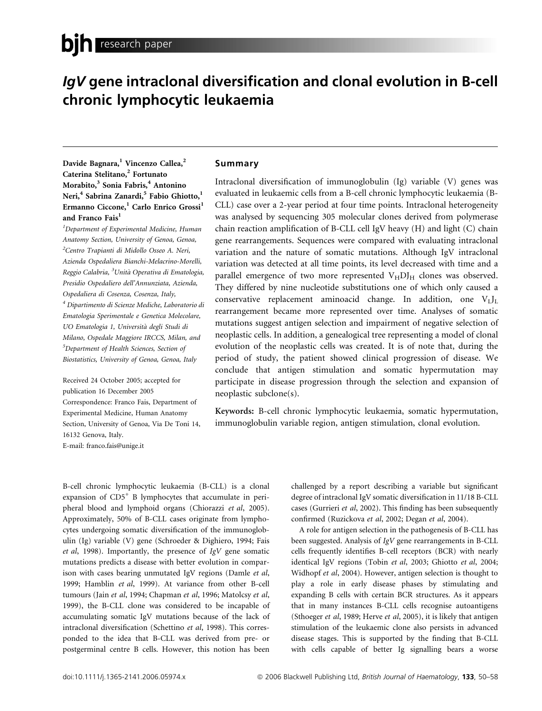# IgV gene intraclonal diversification and clonal evolution in B-cell chronic lymphocytic leukaemia

Davide Bagnara,<sup>1</sup> Vincenzo Callea,<sup>2</sup> Caterina Stelitano,<sup>2</sup> Fortunato Morabito,<sup>3</sup> Sonia Fabris,<sup>4</sup> Antonino Neri,<sup>4</sup> Sabrina Zanardi,<sup>5</sup> Fabio Ghiotto,<sup>1</sup> Ermanno Ciccone,<sup>1</sup> Carlo Enrico Grossi<sup>1</sup> and Franco Fais<sup>1</sup>

<sup>1</sup>Department of Experimental Medicine, Human Anatomy Section, University of Genoa, Genoa, <sup>2</sup>Centro Trapianti di Midollo Osseo A. Neri, Azienda Ospedaliera Bianchi-Melacrino-Morelli, Reggio Calabria, <sup>3</sup>Unità Operativa di Ematologia, Presidio Ospedaliero dell'Annunziata, Azienda, Ospedaliera di Cosenza, Cosenza, Italy, <sup>4</sup> Dipartimento di Scienze Mediche, Laboratorio di Ematologia Sperimentale e Genetica Molecolare, UO Ematologia 1, Universita` degli Studi di Milano, Ospedale Maggiore IRCCS, Milan, and <sup>5</sup>Department of Health Sciences, Section of Biostatistics, University of Genoa, Genoa, Italy

Received 24 October 2005; accepted for publication 16 December 2005 Correspondence: Franco Fais, Department of Experimental Medicine, Human Anatomy Section, University of Genoa, Via De Toni 14, 16132 Genova, Italy. E-mail: franco.fais@unige.it

## Summary

Intraclonal diversification of immunoglobulin (Ig) variable (V) genes was evaluated in leukaemic cells from a B-cell chronic lymphocytic leukaemia (B-CLL) case over a 2-year period at four time points. Intraclonal heterogeneity was analysed by sequencing 305 molecular clones derived from polymerase chain reaction amplification of B-CLL cell IgV heavy (H) and light (C) chain gene rearrangements. Sequences were compared with evaluating intraclonal variation and the nature of somatic mutations. Although IgV intraclonal variation was detected at all time points, its level decreased with time and a parallel emergence of two more represented  $V<sub>H</sub>DI<sub>H</sub>$  clones was observed. They differed by nine nucleotide substitutions one of which only caused a conservative replacement aminoacid change. In addition, one  $V_L J_L$ rearrangement became more represented over time. Analyses of somatic mutations suggest antigen selection and impairment of negative selection of neoplastic cells. In addition, a genealogical tree representing a model of clonal evolution of the neoplastic cells was created. It is of note that, during the period of study, the patient showed clinical progression of disease. We conclude that antigen stimulation and somatic hypermutation may participate in disease progression through the selection and expansion of neoplastic subclone(s).

Keywords: B-cell chronic lymphocytic leukaemia, somatic hypermutation, immunoglobulin variable region, antigen stimulation, clonal evolution.

B-cell chronic lymphocytic leukaemia (B-CLL) is a clonal expansion of  $CD5<sup>+</sup>$  B lymphocytes that accumulate in peripheral blood and lymphoid organs (Chiorazzi et al, 2005). Approximately, 50% of B-CLL cases originate from lymphocytes undergoing somatic diversification of the immunoglobulin (Ig) variable (V) gene (Schroeder & Dighiero, 1994; Fais et al, 1998). Importantly, the presence of IgV gene somatic mutations predicts a disease with better evolution in comparison with cases bearing unmutated IgV regions (Damle et al, 1999; Hamblin et al, 1999). At variance from other B-cell tumours (Jain et al, 1994; Chapman et al, 1996; Matolcsy et al, 1999), the B-CLL clone was considered to be incapable of accumulating somatic IgV mutations because of the lack of intraclonal diversification (Schettino et al, 1998). This corresponded to the idea that B-CLL was derived from pre- or postgerminal centre B cells. However, this notion has been challenged by a report describing a variable but significant degree of intraclonal IgV somatic diversification in 11/18 B-CLL cases (Gurrieri et al, 2002). This finding has been subsequently confirmed (Ruzickova et al, 2002; Degan et al, 2004).

A role for antigen selection in the pathogenesis of B-CLL has been suggested. Analysis of IgV gene rearrangements in B-CLL cells frequently identifies B-cell receptors (BCR) with nearly identical IgV regions (Tobin et al, 2003; Ghiotto et al, 2004; Widhopf et al, 2004). However, antigen selection is thought to play a role in early disease phases by stimulating and expanding B cells with certain BCR structures. As it appears that in many instances B-CLL cells recognise autoantigens (Sthoeger et al, 1989; Herve et al, 2005), it is likely that antigen stimulation of the leukaemic clone also persists in advanced disease stages. This is supported by the finding that B-CLL with cells capable of better Ig signalling bears a worse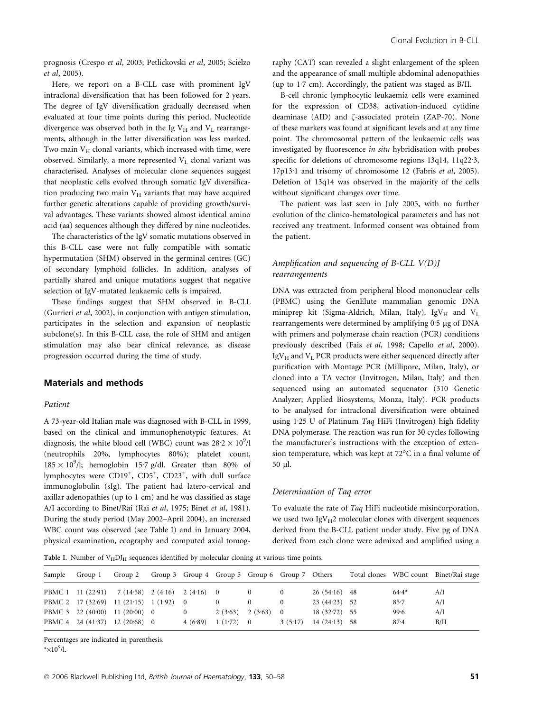prognosis (Crespo et al, 2003; Petlickovski et al, 2005; Scielzo et al, 2005).

Here, we report on a B-CLL case with prominent IgV intraclonal diversification that has been followed for 2 years. The degree of IgV diversification gradually decreased when evaluated at four time points during this period. Nucleotide divergence was observed both in the Ig  $V_H$  and  $V_I$  rearrangements, although in the latter diversification was less marked. Two main  $V_H$  clonal variants, which increased with time, were observed. Similarly, a more represented  $V<sub>L</sub>$  clonal variant was characterised. Analyses of molecular clone sequences suggest that neoplastic cells evolved through somatic IgV diversification producing two main  $V_H$  variants that may have acquired further genetic alterations capable of providing growth/survival advantages. These variants showed almost identical amino acid (aa) sequences although they differed by nine nucleotides.

The characteristics of the IgV somatic mutations observed in this B-CLL case were not fully compatible with somatic hypermutation (SHM) observed in the germinal centres (GC) of secondary lymphoid follicles. In addition, analyses of partially shared and unique mutations suggest that negative selection of IgV-mutated leukaemic cells is impaired.

These findings suggest that SHM observed in B-CLL (Gurrieri et al, 2002), in conjunction with antigen stimulation, participates in the selection and expansion of neoplastic subclone(s). In this B-CLL case, the role of SHM and antigen stimulation may also bear clinical relevance, as disease progression occurred during the time of study.

## Materials and methods

#### Patient

A 73-year-old Italian male was diagnosed with B-CLL in 1999, based on the clinical and immunophenotypic features. At diagnosis, the white blood cell (WBC) count was  $28.2 \times 10^9$ /l (neutrophils 20%, lymphocytes 80%); platelet count,  $185 \times 10^9$ /l; hemoglobin 15.7 g/dl. Greater than 80% of lymphocytes were CD19<sup>+</sup>, CD5<sup>+</sup>, CD23<sup>+</sup>, with dull surface immunoglobulin (sIg). The patient had latero-cervical and axillar adenopathies (up to 1 cm) and he was classified as stage A/I according to Binet/Rai (Rai et al, 1975; Binet et al, 1981). During the study period (May 2002–April 2004), an increased WBC count was observed (see Table I) and in January 2004, physical examination, ecography and computed axial tomography (CAT) scan revealed a slight enlargement of the spleen and the appearance of small multiple abdominal adenopathies (up to  $1.7$  cm). Accordingly, the patient was staged as B/II.

B-cell chronic lymphocytic leukaemia cells were examined for the expression of CD38, activation-induced cytidine deaminase (AID) and  $\zeta$ -associated protein (ZAP-70). None of these markers was found at significant levels and at any time point. The chromosomal pattern of the leukaemic cells was investigated by fluorescence in situ hybridisation with probes specific for deletions of chromosome regions  $13q14$ ,  $11q22.3$ , 17p13·1 and trisomy of chromosome 12 (Fabris et al, 2005). Deletion of 13q14 was observed in the majority of the cells without significant changes over time.

The patient was last seen in July 2005, with no further evolution of the clinico-hematological parameters and has not received any treatment. Informed consent was obtained from the patient.

## Amplification and sequencing of B-CLL  $V(D)J$ rearrangements

DNA was extracted from peripheral blood mononuclear cells (PBMC) using the GenElute mammalian genomic DNA miniprep kit (Sigma-Aldrich, Milan, Italy). IgV $_{\rm H}$  and V<sub>L</sub> rearrangements were determined by amplifying 0.5 µg of DNA with primers and polymerase chain reaction (PCR) conditions previously described (Fais et al, 1998; Capello et al, 2000).  $IgV_H$  and  $V_L$  PCR products were either sequenced directly after purification with Montage PCR (Millipore, Milan, Italy), or cloned into a TA vector (Invitrogen, Milan, Italy) and then sequenced using an automated sequenator (310 Genetic Analyzer; Applied Biosystems, Monza, Italy). PCR products to be analysed for intraclonal diversification were obtained using 1.25 U of Platinum Taq HiFi (Invitrogen) high fidelity DNA polymerase. The reaction was run for 30 cycles following the manufacturer's instructions with the exception of extension temperature, which was kept at 72°C in a final volume of 50 ll.

#### Determination of Taq error

To evaluate the rate of Taq HiFi nucleotide misincorporation, we used two  $IgV_H2$  molecular clones with divergent sequences derived from the B-CLL patient under study. Five pg of DNA derived from each clone were admixed and amplified using a

Table I. Number of  $V_H D_J$  sequences identified by molecular cloning at various time points.

| Sample | Group 1 Group 2 Group 3 Group 4 Group 5 Group 6 Group 7 Others |          |             |                       |         |                |          | Total clones WBC count Binet/Rai stage |
|--------|----------------------------------------------------------------|----------|-------------|-----------------------|---------|----------------|----------|----------------------------------------|
|        | PBMC 1 11 (22.91) 7 (14.58) 2 (4.16) 2 (4.16) 0                |          |             | $\overline{0}$        |         | $26(54.16)$ 48 | $64.4*$  | A/I                                    |
|        | PBMC 2 17 (32.69) 11 (21.15) 1 (1.92) 0                        |          |             |                       |         | $23(44.23)$ 52 | $85 - 7$ | A/I                                    |
|        | PBMC 3 22 (40.00) 11 (20.00) 0                                 | $\bf{0}$ |             | $2(3.63)$ $2(3.63)$ 0 |         | $18(32.72)$ 55 | 99.6     | A/I                                    |
|        | PBMC 4 24 (41.37) 12 (20.68) 0                                 | 4(6.89)  | $1(1.72)$ 0 |                       | 3(5.17) | $14(24.13)$ 58 | 87.4     | B/II                                   |

Percentages are indicated in parenthesis.

 $* \times 10^9$ /l.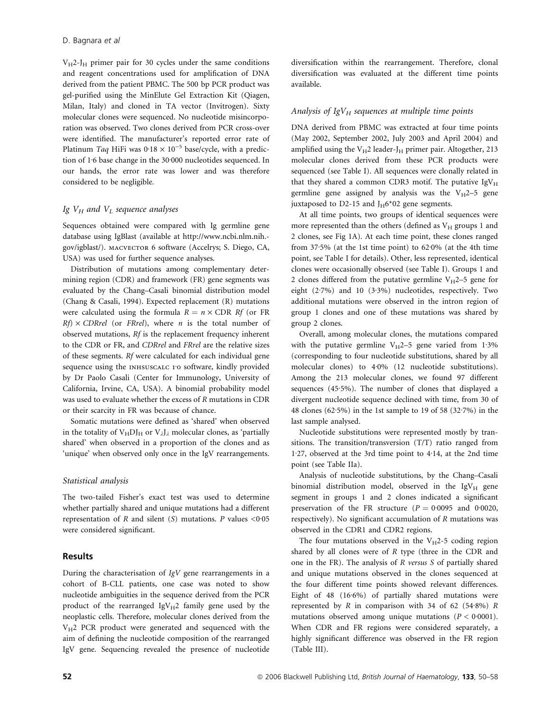$V_{\text{H}}$ 2-J<sub>H</sub> primer pair for 30 cycles under the same conditions and reagent concentrations used for amplification of DNA derived from the patient PBMC. The 500 bp PCR product was gel-purified using the MinElute Gel Extraction Kit (Qiagen, Milan, Italy) and cloned in TA vector (Invitrogen). Sixty molecular clones were sequenced. No nucleotide misincorporation was observed. Two clones derived from PCR cross-over were identified. The manufacturer's reported error rate of Platinum Taq HiFi was  $0.18 \times 10^{-5}$  base/cycle, with a prediction of 1.6 base change in the 30.000 nucleotides sequenced. In our hands, the error rate was lower and was therefore considered to be negligible.

#### Ig  $V_H$  and  $V_L$  sequence analyses

Sequences obtained were compared with Ig germline gene database using IgBlast (available at http://www.ncbi.nlm.nih. gov/igblast/). macvector 6 software (Accelrys; S. Diego, CA, USA) was used for further sequence analyses.

Distribution of mutations among complementary determining region (CDR) and framework (FR) gene segments was evaluated by the Chang–Casali binomial distribution model (Chang & Casali, 1994). Expected replacement (R) mutations were calculated using the formula  $R = n \times \text{CDR}$  Rf (or FR  $Rf \times \text{CDRrel}$  (or FRrel), where *n* is the total number of observed mutations, Rf is the replacement frequency inherent to the CDR or FR, and CDRrel and FRrel are the relative sizes of these segments. Rf were calculated for each individual gene sequence using the INHSUSCALC 1.0 software, kindly provided by Dr Paolo Casali (Center for Immunology, University of California, Irvine, CA, USA). A binomial probability model was used to evaluate whether the excess of R mutations in CDR or their scarcity in FR was because of chance.

Somatic mutations were defined as 'shared' when observed in the totality of  $V_H D J_H$  or  $V_\lambda J_\lambda$  molecular clones, as 'partially shared' when observed in a proportion of the clones and as 'unique' when observed only once in the IgV rearrangements.

#### Statistical analysis

The two-tailed Fisher's exact test was used to determine whether partially shared and unique mutations had a different representation of R and silent (S) mutations. P values  $\leq 0.05$ were considered significant.

## Results

During the characterisation of IgV gene rearrangements in a cohort of B-CLL patients, one case was noted to show nucleotide ambiguities in the sequence derived from the PCR product of the rearranged  $IgV_H2$  family gene used by the neoplastic cells. Therefore, molecular clones derived from the  $V_H$ 2 PCR product were generated and sequenced with the aim of defining the nucleotide composition of the rearranged IgV gene. Sequencing revealed the presence of nucleotide diversification within the rearrangement. Therefore, clonal diversification was evaluated at the different time points available.

#### Analysis of  $IgV_H$  sequences at multiple time points

DNA derived from PBMC was extracted at four time points (May 2002, September 2002, July 2003 and April 2004) and amplified using the  $V_H2$  leader-J<sub>H</sub> primer pair. Altogether, 213 molecular clones derived from these PCR products were sequenced (see Table I). All sequences were clonally related in that they shared a common CDR3 motif. The putative  $IgV_H$ germline gene assigned by analysis was the  $V_H$ 2–5 gene juxtaposed to D2-15 and  $J_H6*02$  gene segments.

At all time points, two groups of identical sequences were more represented than the others (defined as  $\mathrm{V_{H}}$  groups 1 and 2 clones, see Fig 1A). At each time point, these clones ranged from  $37.5\%$  (at the 1st time point) to  $62.0\%$  (at the 4th time point, see Table I for details). Other, less represented, identical clones were occasionally observed (see Table I). Groups 1 and 2 clones differed from the putative germline  $V_H$ 2–5 gene for eight  $(2.7%)$  and 10  $(3.3%)$  nucleotides, respectively. Two additional mutations were observed in the intron region of group 1 clones and one of these mutations was shared by group 2 clones.

Overall, among molecular clones, the mutations compared with the putative germline  $V_H$ 2–5 gene varied from 1.3% (corresponding to four nucleotide substitutions, shared by all molecular clones) to 4.0% (12 nucleotide substitutions). Among the 213 molecular clones, we found 97 different sequences (45.5%). The number of clones that displayed a divergent nucleotide sequence declined with time, from 30 of 48 clones (62.5%) in the 1st sample to 19 of 58 (32.7%) in the last sample analysed.

Nucleotide substitutions were represented mostly by transitions. The transition/transversion (T/T) ratio ranged from 1.27, observed at the 3rd time point to  $4.14$ , at the 2nd time point (see Table IIa).

Analysis of nucleotide substitutions, by the Chang–Casali binomial distribution model, observed in the  $IgV_H$  gene segment in groups 1 and 2 clones indicated a significant preservation of the FR structure ( $P = 0.0095$  and 0.0020, respectively). No significant accumulation of R mutations was observed in the CDR1 and CDR2 regions.

The four mutations observed in the  $V_H$ 2-5 coding region shared by all clones were of  $R$  type (three in the CDR and one in the FR). The analysis of R versus S of partially shared and unique mutations observed in the clones sequenced at the four different time points showed relevant differences. Eight of  $48$  (16 $6\%$ ) of partially shared mutations were represented by  $R$  in comparison with 34 of 62 (54.8%)  $R$ mutations observed among unique mutations  $(P < 0.0001)$ . When CDR and FR regions were considered separately, a highly significant difference was observed in the FR region (Table III).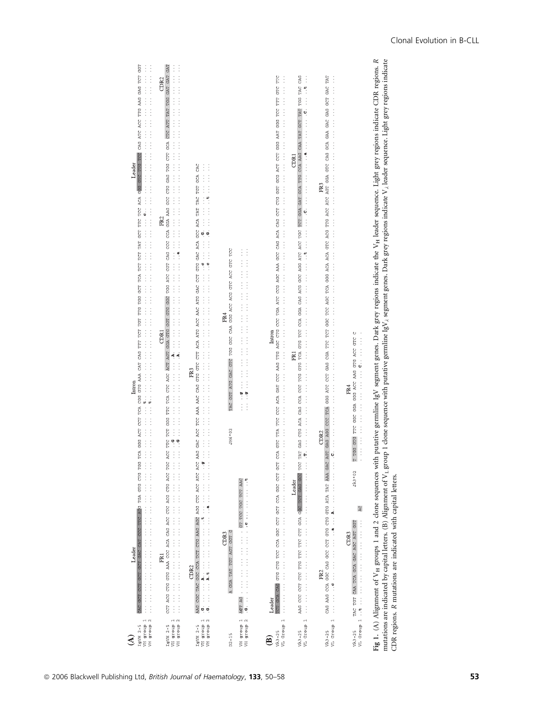| GGT<br>$\begin{array}{c} \vdots \\ \vdots \\ \vdots \end{array}$<br>CAG ATC ACC TTG AAG GAG TCT<br>$\vdots$<br>$\vdots$<br>TOA GGG ACT TOA CGG GTG AAA CAT CAG TITT TOT TGT THG TGG GCT TCA TCT TCT TAT GCT TTC ACA AGG GTC TTG TCC<br>Leader<br>Intron<br>$\begin{array}{c} \vdots \\ \vdots \\ \vdots \\ \vdots \end{array}$<br>- pen<br>クリスティスティスティスティスティスティスティスティスティスティスティスティステ<br>$\begin{array}{c} \vdots \\ \vdots \\ \vdots \\ \vdots \end{array}$<br>TGA GTG CTG<br>TTC ATG<br>ふくさい こうかい きょうしゅう こうきょうこう こうき<br>CCC<br>GCT GAC CAT<br>Leader<br>GCT<br>CCT<br>GCT<br>$\frac{1}{2}$ | GAT<br>エスティング・システィング・システィング・システィング・システィング・システィング・システィング・システィング・システィング・ (種) アイシスティング・システィング・システィング・システィング・システィング<br>GAT GAT<br>CDR <sub>2</sub><br>CTC ATT TAT TGG<br>$\vdots$<br>TGG ATC CGT CAG CCC CCA GGA AAG GCC CTG GAG TGG CTT GCA<br>$\vdots$<br>$\vdots$<br>$\frac{1}{2}$ $\frac{1}{2}$ $\frac{1}{2}$ $\frac{1}{2}$ $\frac{1}{2}$ $\frac{1}{2}$ $\frac{1}{2}$ $\frac{1}{2}$ $\frac{1}{2}$ $\frac{1}{2}$ $\frac{1}{2}$ $\frac{1}{2}$ $\frac{1}{2}$ $\frac{1}{2}$ $\frac{1}{2}$ $\frac{1}{2}$ $\frac{1}{2}$ $\frac{1}{2}$ $\frac{1}{2}$ $\frac{1}{2}$ $\frac{1}{2}$ $\frac{1}{2}$<br>$\vdots$<br>FR <sub>2</sub><br>$\vdots$<br>$\vdots$<br>$\vdots$<br>CCT ACG CTG GAG AAA CCC ACA CAG ACG CTC ACG ACG TGC ACC TTC TCT GGG TTC TCA CTC AGC ACT AGT GGA GTG GGT GTG GGC<br>CDRI<br>$\begin{array}{ccc} \bullet & \bullet & \bullet \\ \bullet & \bullet & \bullet \\ \bullet & \bullet & \bullet \end{array}$<br>医心包皮炎 医皮质 医皮质 医单位 医单位 医骨骨 医骨骨 医单位 医单位 医骨骨 医骨骨 医骨骨 医骨骨 医骨骨 医单位 医骨骨<br>FR1<br>$\vdots$<br>$\vdots$ | CAC<br>GCA<br>COC THE GOL COA TOT CTO AGO AGO AGO CTC ACC ARG GAC ARA AGO TOC ARA AAC CHO GTC CTT ACA ATG ACC ARC ATG GAC COT GTG GAC AGO ACA TOR TAT TAT TOT<br>ひょうこう こうこうきょう こうしょう こうきょう こうしん こうきょう こうしん こうしん こうしょう こうしん こうしん こうしん こうしゅう こうしゅ<br>FR <sub>3</sub><br>医皮质性皮质 医皮肤病 医皮肤病 医阿尔伯氏征 医心包 医心包 医心包 医心包 医心包 医心包 医心包 医心包 医心包<br>CDR <sub>2</sub><br>AAG | GGT AITG GAC GITC TGG GGC CAA GGG ACC ACG GITC ACC GITC TICC<br>FR4<br>TAC<br>JH6*02<br>GGA TAT TGT AGT GGT G<br>CDR <sub>3</sub><br>$\overline{a}$ | エスティング・ファイン ファイン・ファイン ファイン・ファイン ファイン・ファイン<br>$\frac{9}{10}$<br>$\frac{9}{10}$<br>#choose control director of the control of the control of the control of the control of the control of the control of the control of the control of the control of the control of the control of the control of the control o<br>DEC TOT DOC TOO TO THE ALL AND TO THE ALL AND TO THE RACE TO THE RACE TO THE RACE TO THE TABLE<br>ACT AG | TTC<br>$\vdots$<br>$\frac{1}{5}$<br>TTT<br>ECC<br>GEG TEA GOC CCT GCC CCT GCC CCC GCC CCA GTC TTA GTC CCC ACA GAT CCC AAG TTG AGC CCG CCC TGA ARC CCG AAA GCC CAG ACA CAG ACA CCT CTG GCG ACT CCC AAT GGG AAR GGG AAR GGG AAR GGG AAR GGG AAR GGG AAR GGG AAR GGG AAR GGG AAR GG<br>Intron<br>$\begin{array}{c}\n\vdots \\ \vdots \\ \vdots \\ \vdots\n\end{array}$<br>TCT GCA CAG<br>Leader | TAC CAG<br>$\vdots$<br><b>TGG</b><br>GCT TAT<br>TEG TRAD GRG COR CAG COR COC TOG GTG TCA GTG TCC CCA GGA CAG ACG ACC AGG ATC ACC TOG TCC TCT GGA GAT GCA TTG CCA AAG CAA TAT<br>CDR1<br>FR <sub>1</sub><br>$\vdots$<br>$\vdots$<br>$\frac{1}{2}$<br>ふくさん きんきょう きんこう きんこう きんきょう きんじゅう きんきょう きんじょう こうきょう きんじゅう<br>AAG CCC CCT CTC TTG TTC TTC CTT GCA GOC TCT GAG GCC<br>Leader | TAT<br>Ì<br>GAC<br>59<br>GAG<br>GGG THEO CORG CORG COAR TILE GGC POC AGC ACA ACA ACA ACA GILE ACG TILG ACC ALC ATC AFC AGT GGA GILE CAG GCA GAA GAC<br>FR <sub>3</sub><br>CCC TCA<br>GAG AGG<br>CDR <sub>2</sub><br>CAG AAG CCA GGC CAG GCC GCTG CTG GTG ATA TAT AAA GAC AGT<br>$\frac{1}{2}$<br>- contract of the company of the contract of the contract of the contract of the contract of the contract of t<br>FR <sub>2</sub> | $\circ$<br>GGA GGG ACC AAG GTG ACC GTC<br>$\vdots$<br>GGC<br>E<br>$\vdots$<br>T TGG GTG<br>JA3*02<br>AC <sub></sub><br>WL Group 1<br>GGT<br>CAA TCA GCA GAC AGC AGT<br>CDR <sub>3</sub><br>TAC TGT | Fig. 1. Alignment of V <sub>H</sub> groups 1 and 2 clone sequences with putative germline IgV segment genes. Dark grey regions indicate the V <sub>H</sub> leader sequence. Light grey regions indicate CDR regions. R<br>particular and the control lattage (R) Alignmant of V, group compares with putto genulus laV, compart gang lank more point of a lank more among train the more indicate |
|--------------------------------------------------------------------------------------------------------------------------------------------------------------------------------------------------------------------------------------------------------------------------------------------------------------------------------------------------------------------------------------------------------------------------------------------------------------------------------------------------------------------------------------------------------------------------------------------|-------------------------------------------------------------------------------------------------------------------------------------------------------------------------------------------------------------------------------------------------------------------------------------------------------------------------------------------------------------------------------------------------------------------------------------------------------------------------------------------------------------------------------------------------------------------------------------------------------------------------------------------------------------------------------------------------------------------------------------------------------------------------------------------------------------------------------------------------------------------------------------------------------------------------------------------------------------------------------------------------------------------------|--------------------------------------------------------------------------------------------------------------------------------------------------------------------------------------------------------------------------------------------------------------------------------------------------------------------------------------------------------------|-----------------------------------------------------------------------------------------------------------------------------------------------------|----------------------------------------------------------------------------------------------------------------------------------------------------------------------------------------------------------------------------------------------------------------------------------------------------------------------------------------------------------------------------------------------------------------------------|----------------------------------------------------------------------------------------------------------------------------------------------------------------------------------------------------------------------------------------------------------------------------------------------------------------------------------------------------------------------------------------------|-------------------------------------------------------------------------------------------------------------------------------------------------------------------------------------------------------------------------------------------------------------------------------------------------------------------------------------------------------------------------------|------------------------------------------------------------------------------------------------------------------------------------------------------------------------------------------------------------------------------------------------------------------------------------------------------------------------------------------------------------------------------------------------------------------------------------|----------------------------------------------------------------------------------------------------------------------------------------------------------------------------------------------------|---------------------------------------------------------------------------------------------------------------------------------------------------------------------------------------------------------------------------------------------------------------------------------------------------------------------------------------------------------------------------------------------------|
| $\sim$<br>VH group<br>VH group<br>$TgVH$ $2-5$<br>₹                                                                                                                                                                                                                                                                                                                                                                                                                                                                                                                                        | VH group 2<br>VH group 1<br>$IgVH$ $2-5$                                                                                                                                                                                                                                                                                                                                                                                                                                                                                                                                                                                                                                                                                                                                                                                                                                                                                                                                                                                | VH group 1<br>$\mathbb{N}$<br>dronb<br>$TgVH$ $2-5$<br>ă                                                                                                                                                                                                                                                                                                     | $D2 - 15$                                                                                                                                           | VH group 1<br>$\sim$<br>group<br>$\overline{5}$                                                                                                                                                                                                                                                                                                                                                                            | $\overline{\phantom{0}}$<br>VL Group<br>$W3-25$<br>ම                                                                                                                                                                                                                                                                                                                                         | VL Group 1<br>$W13-25$                                                                                                                                                                                                                                                                                                                                                        | VL Group 1<br>$W_{0.3-25}$                                                                                                                                                                                                                                                                                                                                                                                                         | $W3 - 25$                                                                                                                                                                                          |                                                                                                                                                                                                                                                                                                                                                                                                   |

mutations are indicated by capital letters. (B) Alignment of V<sub>L</sub> group 1 clone sequence with putative germline IgV<sub>k</sub> segment genes. Dark grey regions indicate V<sub>k</sub> leader sequence. Light grey regions indicate sequence. Light grey regions indicate ಕ  $\frac{16}{2}$ Fig 1. (A) Alignment of V<sub>H</sub> groups 1 and 2 clone sequences with putative germline IgV segment genes. Dark grey regions indicate the V<sub>H</sub> leader sequence mutations are indicated by capital letters. (B) Alignment of V<sub>L</sub> g CDR regions. R mutations are indicated with capital letters.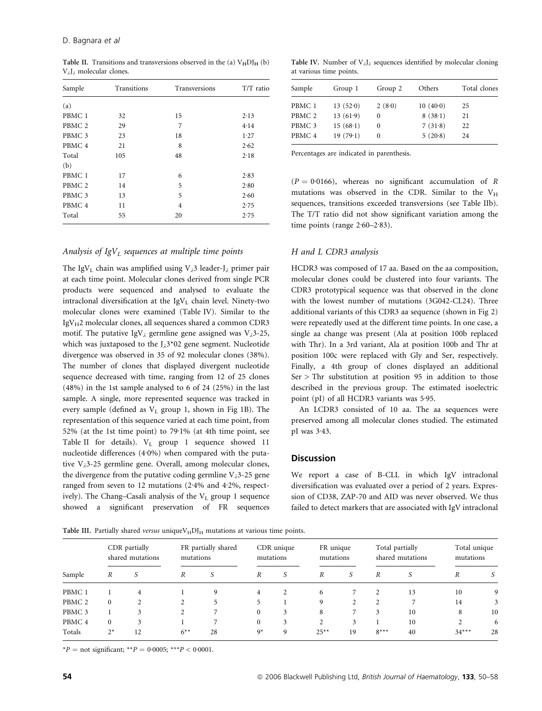Table II. Transitions and transversions observed in the (a)  $V<sub>H</sub>DI<sub>H</sub>$  (b) V<sub>2</sub>J<sub>2</sub> molecular clones.

| Sample            | Transitions | Transversions  | T/T ratio |  |
|-------------------|-------------|----------------|-----------|--|
| (a)               |             |                |           |  |
| PBMC <sub>1</sub> | 32          | 15             | 2.13      |  |
| PBMC <sub>2</sub> | 29          | 7              | 4.14      |  |
| PBMC <sub>3</sub> | 23          | 18             | 1.27      |  |
| PBMC <sub>4</sub> | 21          | 8              | 2.62      |  |
| Total             | 105         | 48             | 2.18      |  |
| (b)               |             |                |           |  |
| PBMC <sub>1</sub> | 17          | 6              | 2.83      |  |
| PBMC <sub>2</sub> | 14          | 5              | 2.80      |  |
| PBMC <sub>3</sub> | 13          | 5              | 2.60      |  |
| PBMC <sub>4</sub> | 11          | $\overline{4}$ | 2.75      |  |
| Total             | 55          | 20             | 2.75      |  |

#### Analysis of  $IgV<sub>L</sub>$  sequences at multiple time points

The IgV<sub>L</sub> chain was amplified using V<sub>2</sub>3 leader-J<sub>2</sub> primer pair at each time point. Molecular clones derived from single PCR products were sequenced and analysed to evaluate the intraclonal diversification at the  $IgV_L$  chain level. Ninety-two molecular clones were examined (Table IV). Similar to the  $IgV_H2$  molecular clones, all sequences shared a common CDR3 motif. The putative IgV<sub>2</sub> germline gene assigned was V<sub>2</sub>3-25, which was juxtaposed to the  $J_{\lambda}3*02$  gene segment. Nucleotide divergence was observed in 35 of 92 molecular clones (38%). The number of clones that displayed divergent nucleotide sequence decreased with time, ranging from 12 of 25 clones (48%) in the 1st sample analysed to 6 of 24 (25%) in the last sample. A single, more represented sequence was tracked in every sample (defined as  $V<sub>L</sub>$  group 1, shown in Fig 1B). The representation of this sequence varied at each time point, from 52% (at the 1st time point) to  $79.1\%$  (at 4th time point, see Table II for details).  $V_L$  group 1 sequence showed 11 nucleotide differences  $(4.0%)$  when compared with the putative  $V_{\lambda}$ 3-25 germline gene. Overall, among molecular clones, the divergence from the putative coding germline  $V_{\lambda}$ 3-25 gene ranged from seven to 12 mutations  $(2.4\%$  and  $4.2\%$ , respectively). The Chang–Casali analysis of the  $V<sub>L</sub>$  group 1 sequence showed a significant preservation of FR sequences

Table IV. Number of  $V_{\lambda}J_{\lambda}$  sequences identified by molecular cloning at various time points.

| Sample            | Group 1  | Group 2  | Others   | Total clones |
|-------------------|----------|----------|----------|--------------|
| PBMC 1            | 13(520)  | 2(8.0)   | 10(40.0) | 25           |
| PBMC <sub>2</sub> | 13(61.9) | $\Omega$ | 8(38.1)  | 21           |
| PBMC <sub>3</sub> | 15(68.1) | 0        | 7(31.8)  | 22           |
| PBMC <sub>4</sub> | 19(79.1) |          | 5(20.8)  | 24           |
|                   |          |          |          |              |

Percentages are indicated in parenthesis.

 $(P = 0.0166)$ , whereas no significant accumulation of R mutations was observed in the CDR. Similar to the  $V_H$ sequences, transitions exceeded transversions (see Table IIb). The T/T ratio did not show significant variation among the time points (range  $2.60-2.83$ ).

#### H and L CDR3 analysis

HCDR3 was composed of 17 aa. Based on the aa composition, molecular clones could be clustered into four variants. The CDR3 prototypical sequence was that observed in the clone with the lowest number of mutations (3G042-CL24). Three additional variants of this CDR3 aa sequence (shown in Fig 2) were repeatedly used at the different time points. In one case, a single aa change was present (Ala at position 100b replaced with Thr). In a 3rd variant, Ala at position 100b and Thr at position 100c were replaced with Gly and Ser, respectively. Finally, a 4th group of clones displayed an additional  $Ser$  > Thr substitution at position 95 in addition to those described in the previous group. The estimated isoelectric point (pI) of all HCDR3 variants was 5.95.

An LCDR3 consisted of 10 aa. The aa sequences were preserved among all molecular clones studied. The estimated pI was  $3.43$ .

#### **Discussion**

We report a case of B-CLL in which IgV intraclonal diversification was evaluated over a period of 2 years. Expression of CD38, ZAP-70 and AID was never observed. We thus failed to detect markers that are associated with IgV intraclonal

Table III. Partially shared versus unique  $V_H D I_H$  mutations at various time points.

|                   | CDR partially<br>shared mutations |    | FR partially shared<br>mutations |    | CDR unique<br>mutations |   | FR unique<br>mutations |    | Total partially<br>shared mutations |    | Total unique<br>mutations |    |
|-------------------|-----------------------------------|----|----------------------------------|----|-------------------------|---|------------------------|----|-------------------------------------|----|---------------------------|----|
| Sample            | R                                 | S  | R                                | S  | $\boldsymbol{R}$        | S | R                      | .S | R                                   | S  | R                         |    |
| PBMC 1            |                                   | 4  |                                  | 9  | $\overline{4}$          | 2 | 6                      |    |                                     | 13 | 10                        | 9  |
| PBMC <sub>2</sub> | $\mathbf{0}$                      |    | 2                                | 5  | 5                       |   | 9                      | C. | $\mathcal{L}$                       | 7  | 14                        | 3  |
| PBMC <sub>3</sub> |                                   |    | 2                                |    | $\mathbf{0}$            | 3 | 8                      |    | 3                                   | 10 | 8                         | 10 |
| PBMC <sub>4</sub> | $\Omega$                          |    |                                  |    | $\Omega$                | 3 | $\overline{c}$         | 3  |                                     | 10 | 2                         | 6  |
| Totals            | $2^*$                             | 12 | $6***$                           | 28 | $9*$                    | 9 | $25**$                 | 19 | $8***$                              | 40 | $34***$                   | 28 |

\*P = not significant; \*\*P = 0.0005; \*\*\*P < 0.0001.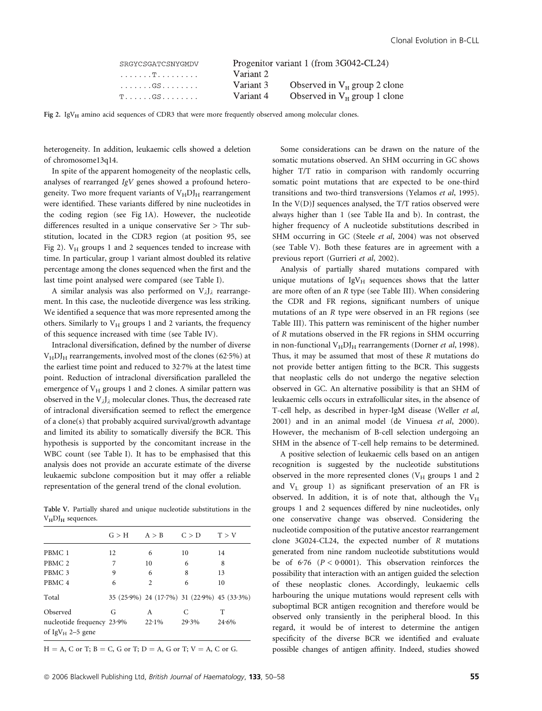| SRGYCSGATCSNYGMDV                         | Progenitor variant 1 (from 3G042-CL24) |                                 |  |  |  |  |
|-------------------------------------------|----------------------------------------|---------------------------------|--|--|--|--|
| . T                                       | Variant 2                              |                                 |  |  |  |  |
| .GS                                       | Variant 3                              | Observed in $V_H$ group 2 clone |  |  |  |  |
| $T\ldots\ldots$ . GS $\ldots\ldots\ldots$ | Variant 4                              | Observed in $V_H$ group 1 clone |  |  |  |  |

Fig 2. IgV<sub>H</sub> amino acid sequences of CDR3 that were more frequently observed among molecular clones.

heterogeneity. In addition, leukaemic cells showed a deletion of chromosome13q14.

In spite of the apparent homogeneity of the neoplastic cells, analyses of rearranged IgV genes showed a profound heterogeneity. Two more frequent variants of  $V<sub>H</sub>D<sub>H</sub>$  rearrangement were identified. These variants differed by nine nucleotides in the coding region (see Fig 1A). However, the nucleotide differences resulted in a unique conservative Ser > Thr substitution, located in the CDR3 region (at position 95, see Fig 2).  $V_H$  groups 1 and 2 sequences tended to increase with time. In particular, group 1 variant almost doubled its relative percentage among the clones sequenced when the first and the last time point analysed were compared (see Table I).

A similar analysis was also performed on  $V_iJ_i$  rearrangement. In this case, the nucleotide divergence was less striking. We identified a sequence that was more represented among the others. Similarly to  $V_H$  groups 1 and 2 variants, the frequency of this sequence increased with time (see Table IV).

Intraclonal diversification, defined by the number of diverse  $V<sub>H</sub>DI<sub>H</sub>$  rearrangements, involved most of the clones (62.5%) at the earliest time point and reduced to  $32.7%$  at the latest time point. Reduction of intraclonal diversification paralleled the emergence of  $V_H$  groups 1 and 2 clones. A similar pattern was observed in the  $V_{\lambda}J_{\lambda}$  molecular clones. Thus, the decreased rate of intraclonal diversification seemed to reflect the emergence of a clone(s) that probably acquired survival/growth advantage and limited its ability to somatically diversify the BCR. This hypothesis is supported by the concomitant increase in the WBC count (see Table I). It has to be emphasised that this analysis does not provide an accurate estimate of the diverse leukaemic subclone composition but it may offer a reliable representation of the general trend of the clonal evolution.

Table V. Partially shared and unique nucleotide substitutions in the  $V<sub>H</sub>DI<sub>H</sub>$  sequences.

|                                                            | G > H | A > B          | C > D                                       | T > V |
|------------------------------------------------------------|-------|----------------|---------------------------------------------|-------|
| PBMC 1                                                     | 12    | 6              | 10                                          | 14    |
| PBMC <sub>2</sub>                                          | 7     | 10             | 6                                           | 8     |
| PBMC <sub>3</sub>                                          | 9     | 6              | 8                                           | 13    |
| PBMC <sub>4</sub>                                          | 6     | $\overline{c}$ | 6                                           | 10    |
| Total                                                      |       |                | 35 (25.9%) 24 (17.7%) 31 (22.9%) 45 (33.3%) |       |
| Observed                                                   | G     | A              | C                                           | Т     |
| nucleotide frequency 23.9%<br>of IgV <sub>H</sub> 2–5 gene |       | $22.1\%$       | $29.3\%$                                    | 24.6% |

 $H = A$ , C or T;  $B = C$ , G or T;  $D = A$ , G or T;  $V = A$ , C or G.

Some considerations can be drawn on the nature of the somatic mutations observed. An SHM occurring in GC shows higher T/T ratio in comparison with randomly occurring somatic point mutations that are expected to be one-third transitions and two-third transversions (Yelamos et al, 1995). In the V(D)J sequences analysed, the T/T ratios observed were always higher than 1 (see Table IIa and b). In contrast, the higher frequency of A nucleotide substitutions described in SHM occurring in GC (Steele et al, 2004) was not observed (see Table V). Both these features are in agreement with a previous report (Gurrieri et al, 2002).

Analysis of partially shared mutations compared with unique mutations of  $IgV_H$  sequences shows that the latter are more often of an R type (see Table III). When considering the CDR and FR regions, significant numbers of unique mutations of an R type were observed in an FR regions (see Table III). This pattern was reminiscent of the higher number of R mutations observed in the FR regions in SHM occurring in non-functional  $V<sub>H</sub>DI<sub>H</sub>$  rearrangements (Dorner *et al*, 1998). Thus, it may be assumed that most of these R mutations do not provide better antigen fitting to the BCR. This suggests that neoplastic cells do not undergo the negative selection observed in GC. An alternative possibility is that an SHM of leukaemic cells occurs in extrafollicular sites, in the absence of T-cell help, as described in hyper-IgM disease (Weller et al, 2001) and in an animal model (de Vinuesa et al, 2000). However, the mechanism of B-cell selection undergoing an SHM in the absence of T-cell help remains to be determined.

A positive selection of leukaemic cells based on an antigen recognition is suggested by the nucleotide substitutions observed in the more represented clones  $(V_H$  groups 1 and 2 and VL group 1) as significant preservation of an FR is observed. In addition, it is of note that, although the  $V_H$ groups 1 and 2 sequences differed by nine nucleotides, only one conservative change was observed. Considering the nucleotide composition of the putative ancestor rearrangement clone 3G024-CL24, the expected number of R mutations generated from nine random nucleotide substitutions would be of 6.76 ( $P < 0.0001$ ). This observation reinforces the possibility that interaction with an antigen guided the selection of these neoplastic clones. Accordingly, leukaemic cells harbouring the unique mutations would represent cells with suboptimal BCR antigen recognition and therefore would be observed only transiently in the peripheral blood. In this regard, it would be of interest to determine the antigen specificity of the diverse BCR we identified and evaluate possible changes of antigen affinity. Indeed, studies showed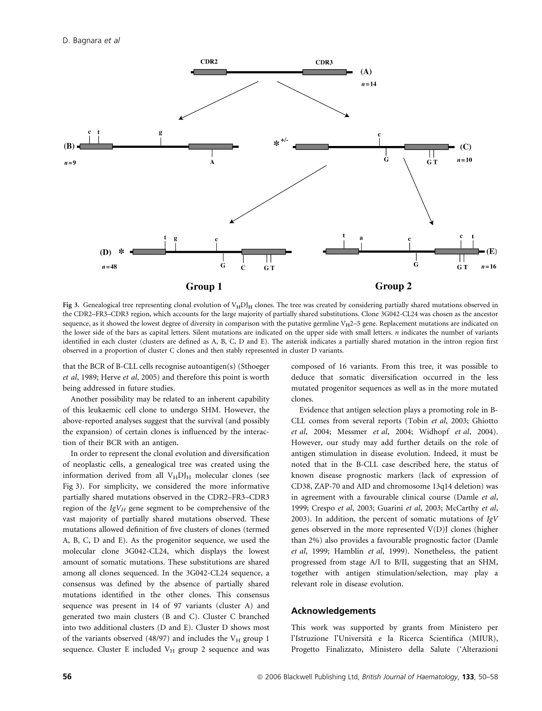

Fig 3. Genealogical tree representing clonal evolution of  $V<sub>H</sub>DI<sub>H</sub>$  clones. The tree was created by considering partially shared mutations observed in the CDR2–FR3–CDR3 region, which accounts for the large majority of partially shared substitutions. Clone 3G042-CL24 was chosen as the ancestor sequence, as it showed the lowest degree of diversity in comparison with the putative germline  $V_H2-5$  gene. Replacement mutations are indicated on the lower side of the bars as capital letters. Silent mutations are indicated on the upper side with small letters.  $n$  indicates the number of variants identified in each cluster (clusters are defined as A, B, C, D and E). The asterisk indicates a partially shared mutation in the intron region first observed in a proportion of cluster C clones and then stably represented in cluster D variants.

that the BCR of B-CLL cells recognise autoantigen(s) (Sthoeger et al, 1989; Herve et al, 2005) and therefore this point is worth being addressed in future studies.

Another possibility may be related to an inherent capability of this leukaemic cell clone to undergo SHM. However, the above-reported analyses suggest that the survival (and possibly the expansion) of certain clones is influenced by the interaction of their BCR with an antigen.

In order to represent the clonal evolution and diversification of neoplastic cells, a genealogical tree was created using the information derived from all  $V_H D J_H$  molecular clones (see Fig 3). For simplicity, we considered the more informative partially shared mutations observed in the CDR2–FR3–CDR3 region of the  $IgV_H$  gene segment to be comprehensive of the vast majority of partially shared mutations observed. These mutations allowed definition of five clusters of clones (termed A, B, C, D and E). As the progenitor sequence, we used the molecular clone 3G042-CL24, which displays the lowest amount of somatic mutations. These substitutions are shared among all clones sequenced. In the 3G042-CL24 sequence, a consensus was defined by the absence of partially shared mutations identified in the other clones. This consensus sequence was present in 14 of 97 variants (cluster A) and generated two main clusters (B and C). Cluster C branched into two additional clusters (D and E). Cluster D shows most of the variants observed (48/97) and includes the  $V_H$  group 1 sequence. Cluster E included  $V_H$  group 2 sequence and was composed of 16 variants. From this tree, it was possible to deduce that somatic diversification occurred in the less mutated progenitor sequences as well as in the more mutated clones.

Evidence that antigen selection plays a promoting role in B-CLL comes from several reports (Tobin et al, 2003; Ghiotto et al, 2004; Messmer et al, 2004; Widhopf et al, 2004). However, our study may add further details on the role of antigen stimulation in disease evolution. Indeed, it must be noted that in the B-CLL case described here, the status of known disease prognostic markers (lack of expression of CD38, ZAP-70 and AID and chromosome 13q14 deletion) was in agreement with a favourable clinical course (Damle et al, 1999; Crespo et al, 2003; Guarini et al, 2003; McCarthy et al, 2003). In addition, the percent of somatic mutations of  $IgV$ genes observed in the more represented V(D)J clones (higher than 2%) also provides a favourable prognostic factor (Damle et al, 1999; Hamblin et al, 1999). Nonetheless, the patient progressed from stage A/I to B/II, suggesting that an SHM, together with antigen stimulation/selection, may play a relevant role in disease evolution.

## Acknowledgements

This work was supported by grants from Ministero per l'Istruzione l'Università e la Ricerca Scientifica (MIUR), Progetto Finalizzato, Ministero della Salute ('Alterazioni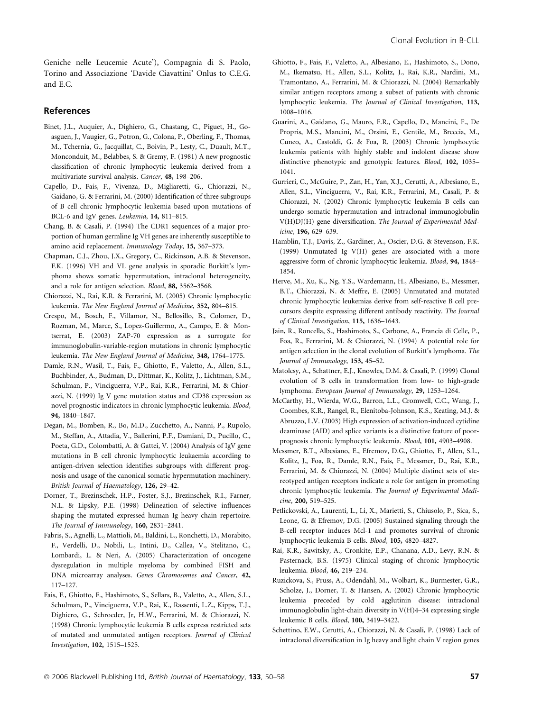Geniche nelle Leucemie Acute'), Compagnia di S. Paolo, Torino and Associazione 'Davide Ciavattini' Onlus to C.E.G. and E.C.

## References

- Binet, J.L., Auquier, A., Dighiero, G., Chastang, C., Piguet, H., Goasguen, J., Vaugier, G., Potron, G., Colona, P., Oberling, F., Thomas, M., Tchernia, G., Jacquillat, C., Boivin, P., Lesty, C., Duault, M.T., Monconduit, M., Belabbes, S. & Gremy, F. (1981) A new prognostic classification of chronic lymphocytic leukemia derived from a multivariate survival analysis. Cancer, 48, 198–206.
- Capello, D., Fais, F., Vivenza, D., Migliaretti, G., Chiorazzi, N., Gaidano, G. & Ferrarini, M. (2000) Identification of three subgroups of B cell chronic lymphocytic leukemia based upon mutations of BCL-6 and IgV genes. Leukemia, 14, 811–815.
- Chang, B. & Casali, P. (1994) The CDR1 sequences of a major proportion of human germline Ig VH genes are inherently susceptible to amino acid replacement. Immunology Today, 15, 367–373.
- Chapman, C.J., Zhou, J.X., Gregory, C., Rickinson, A.B. & Stevenson, F.K. (1996) VH and VL gene analysis in sporadic Burkitt's lymphoma shows somatic hypermutation, intraclonal heterogeneity, and a role for antigen selection. Blood, 88, 3562–3568.
- Chiorazzi, N., Rai, K.R. & Ferrarini, M. (2005) Chronic lymphocytic leukemia. The New England Journal of Medicine, 352, 804–815.
- Crespo, M., Bosch, F., Villamor, N., Bellosillo, B., Colomer, D., Rozman, M., Marce, S., Lopez-Guillermo, A., Campo, E. & Montserrat, E. (2003) ZAP-70 expression as a surrogate for immunoglobulin-variable-region mutations in chronic lymphocytic leukemia. The New England Journal of Medicine, 348, 1764–1775.
- Damle, R.N., Wasil, T., Fais, F., Ghiotto, F., Valetto, A., Allen, S.L., Buchbinder, A., Budman, D., Dittmar, K., Kolitz, J., Lichtman, S.M., Schulman, P., Vinciguerra, V.P., Rai, K.R., Ferrarini, M. & Chiorazzi, N. (1999) Ig V gene mutation status and CD38 expression as novel prognostic indicators in chronic lymphocytic leukemia. Blood, 94, 1840–1847.
- Degan, M., Bomben, R., Bo, M.D., Zucchetto, A., Nanni, P., Rupolo, M., Steffan, A., Attadia, V., Ballerini, P.F., Damiani, D., Pucillo, C., Poeta, G.D., Colombatti, A. & Gattei, V. (2004) Analysis of IgV gene mutations in B cell chronic lymphocytic leukaemia according to antigen-driven selection identifies subgroups with different prognosis and usage of the canonical somatic hypermutation machinery. British Journal of Haematology, 126, 29–42.
- Dorner, T., Brezinschek, H.P., Foster, S.J., Brezinschek, R.I., Farner, N.L. & Lipsky, P.E. (1998) Delineation of selective influences shaping the mutated expressed human Ig heavy chain repertoire. The Journal of Immunology, 160, 2831–2841.
- Fabris, S., Agnelli, L., Mattioli, M., Baldini, L., Ronchetti, D., Morabito, F., Verdelli, D., Nobili, L., Intini, D., Callea, V., Stelitano, C., Lombardi, L. & Neri, A. (2005) Characterization of oncogene dysregulation in multiple myeloma by combined FISH and DNA microarray analyses. Genes Chromosomes and Cancer, 42, 117–127.
- Fais, F., Ghiotto, F., Hashimoto, S., Sellars, B., Valetto, A., Allen, S.L., Schulman, P., Vinciguerra, V.P., Rai, K., Rassenti, L.Z., Kipps, T.J., Dighiero, G., Schroeder, Jr, H.W., Ferrarini, M. & Chiorazzi, N. (1998) Chronic lymphocytic leukemia B cells express restricted sets of mutated and unmutated antigen receptors. Journal of Clinical Investigation, 102, 1515–1525.
- Ghiotto, F., Fais, F., Valetto, A., Albesiano, E., Hashimoto, S., Dono, M., Ikematsu, H., Allen, S.L., Kolitz, J., Rai, K.R., Nardini, M., Tramontano, A., Ferrarini, M. & Chiorazzi, N. (2004) Remarkably similar antigen receptors among a subset of patients with chronic lymphocytic leukemia. The Journal of Clinical Investigation, 113, 1008–1016.
- Guarini, A., Gaidano, G., Mauro, F.R., Capello, D., Mancini, F., De Propris, M.S., Mancini, M., Orsini, E., Gentile, M., Breccia, M., Cuneo, A., Castoldi, G. & Foa, R. (2003) Chronic lymphocytic leukemia patients with highly stable and indolent disease show distinctive phenotypic and genotypic features. Blood, 102, 1035– 1041.
- Gurrieri, C., McGuire, P., Zan, H., Yan, X.J., Cerutti, A., Albesiano, E., Allen, S.L., Vinciguerra, V., Rai, K.R., Ferrarini, M., Casali, P. & Chiorazzi, N. (2002) Chronic lymphocytic leukemia B cells can undergo somatic hypermutation and intraclonal immunoglobulin V(H)DJ(H) gene diversification. The Journal of Experimental Medicine, 196, 629–639.
- Hamblin, T.J., Davis, Z., Gardiner, A., Oscier, D.G. & Stevenson, F.K. (1999) Unmutated Ig V(H) genes are associated with a more aggressive form of chronic lymphocytic leukemia. Blood, 94, 1848– 1854.
- Herve, M., Xu, K., Ng, Y.S., Wardemann, H., Albesiano, E., Messmer, B.T., Chiorazzi, N. & Meffre, E. (2005) Unmutated and mutated chronic lymphocytic leukemias derive from self-reactive B cell precursors despite expressing different antibody reactivity. The Journal of Clinical Investigation, 115, 1636–1643.
- Jain, R., Roncella, S., Hashimoto, S., Carbone, A., Francia di Celle, P., Foa, R., Ferrarini, M. & Chiorazzi, N. (1994) A potential role for antigen selection in the clonal evolution of Burkitt's lymphoma. The Journal of Immunology, 153, 45–52.
- Matolcsy, A., Schattner, E.J., Knowles, D.M. & Casali, P. (1999) Clonal evolution of B cells in transformation from low- to high-grade lymphoma. European Journal of Immunology, 29, 1253–1264.
- McCarthy, H., Wierda, W.G., Barron, L.L., Cromwell, C.C., Wang, J., Coombes, K.R., Rangel, R., Elenitoba-Johnson, K.S., Keating, M.J. & Abruzzo, L.V. (2003) High expression of activation-induced cytidine deaminase (AID) and splice variants is a distinctive feature of poorprognosis chronic lymphocytic leukemia. Blood, 101, 4903–4908.
- Messmer, B.T., Albesiano, E., Efremov, D.G., Ghiotto, F., Allen, S.L., Kolitz, J., Foa, R., Damle, R.N., Fais, F., Messmer, D., Rai, K.R., Ferrarini, M. & Chiorazzi, N. (2004) Multiple distinct sets of stereotyped antigen receptors indicate a role for antigen in promoting chronic lymphocytic leukemia. The Journal of Experimental Medicine, 200, 519–525.
- Petlickovski, A., Laurenti, L., Li, X., Marietti, S., Chiusolo, P., Sica, S., Leone, G. & Efremov, D.G. (2005) Sustained signaling through the B-cell receptor induces Mcl-1 and promotes survival of chronic lymphocytic leukemia B cells. Blood, 105, 4820–4827.
- Rai, K.R., Sawitsky, A., Cronkite, E.P., Chanana, A.D., Levy, R.N. & Pasternack, B.S. (1975) Clinical staging of chronic lymphocytic leukemia. Blood, 46, 219–234.
- Ruzickova, S., Pruss, A., Odendahl, M., Wolbart, K., Burmester, G.R., Scholze, J., Dorner, T. & Hansen, A. (2002) Chronic lymphocytic leukemia preceded by cold agglutinin disease: intraclonal immunoglobulin light-chain diversity in V(H)4–34 expressing single leukemic B cells. Blood, 100, 3419–3422.
- Schettino, E.W., Cerutti, A., Chiorazzi, N. & Casali, P. (1998) Lack of intraclonal diversification in Ig heavy and light chain V region genes